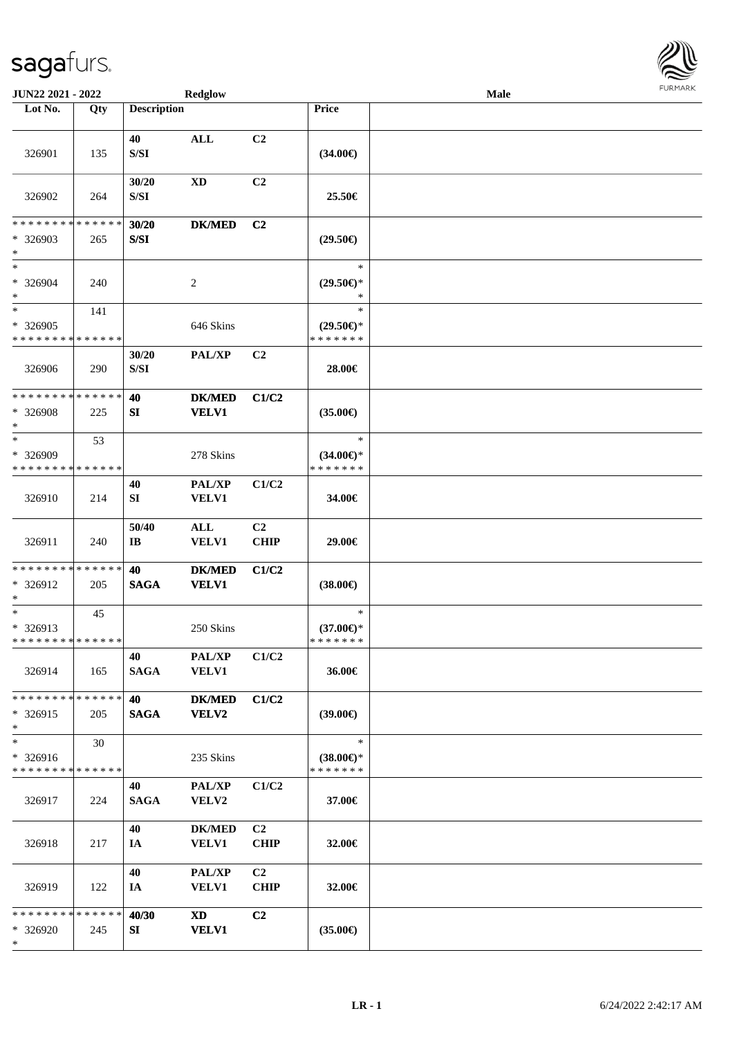

| <b>JUN22 2021 - 2022</b>                          |     |                       | <b>Redglow</b>                 |                               |                                                | Male |  |
|---------------------------------------------------|-----|-----------------------|--------------------------------|-------------------------------|------------------------------------------------|------|--|
| Lot No.                                           | Qty | <b>Description</b>    |                                |                               | Price                                          |      |  |
| 326901                                            | 135 | 40<br>${\bf S/SI}$    | <b>ALL</b>                     | C <sub>2</sub>                | $(34.00\epsilon)$                              |      |  |
| 326902                                            | 264 | 30/20<br>S/SI         | <b>XD</b>                      | C <sub>2</sub>                | 25.50€                                         |      |  |
| * * * * * * * * * * * * * *<br>* 326903<br>$*$    | 265 | 30/20<br>S/SI         | <b>DK/MED</b>                  | C <sub>2</sub>                | $(29.50\epsilon)$                              |      |  |
| $*$<br>* 326904<br>$*$                            | 240 |                       | $\overline{c}$                 |                               | $\ast$<br>$(29.50\epsilon)$ *<br>$\ast$        |      |  |
| $*$<br>* 326905<br>* * * * * * * * * * * * * *    | 141 |                       | 646 Skins                      |                               | $\ast$<br>$(29.50\epsilon)$ *<br>* * * * * * * |      |  |
| 326906                                            | 290 | 30/20<br>${\bf S/SI}$ | <b>PAL/XP</b>                  | C <sub>2</sub>                | 28.00€                                         |      |  |
| * * * * * * * * * * * * * *<br>* 326908<br>$*$    | 225 | 40<br>SI              | <b>DK/MED</b><br><b>VELV1</b>  | C1/C2                         | $(35.00\epsilon)$                              |      |  |
| $*$<br>* 326909<br>* * * * * * * * * * * * * *    | 53  |                       | 278 Skins                      |                               | $\ast$<br>$(34.00€)$ *<br>* * * * * * *        |      |  |
| 326910                                            | 214 | 40<br>SI              | PAL/XP<br><b>VELV1</b>         | C1/C2                         | 34.00€                                         |      |  |
| 326911                                            | 240 | 50/40<br>IB           | $\mathbf{ALL}$<br><b>VELV1</b> | C <sub>2</sub><br><b>CHIP</b> | 29.00€                                         |      |  |
| * * * * * * * * * * * * * *<br>* 326912<br>$\ast$ | 205 | 40<br><b>SAGA</b>     | <b>DK/MED</b><br><b>VELV1</b>  | C1/C2                         | $(38.00\epsilon)$                              |      |  |
| $*$<br>* 326913<br>* * * * * * * * * * * * * * *  | 45  |                       | 250 Skins                      |                               | $\ast$<br>$(37.00\epsilon)$ *<br>*******       |      |  |
| 326914                                            | 165 | 40<br><b>SAGA</b>     | <b>PAL/XP</b><br><b>VELV1</b>  | C1/C2                         | 36.00€                                         |      |  |
| * * * * * * * * * * * * * * *<br>$*326915$<br>$*$ | 205 | 40<br><b>SAGA</b>     | <b>DK/MED</b><br><b>VELV2</b>  | C1/C2                         | $(39.00\epsilon)$                              |      |  |
| $\ast$<br>* 326916<br>* * * * * * * * * * * * * * | 30  |                       | 235 Skins                      |                               | $\ast$<br>$(38.00\epsilon)$ *<br>* * * * * * * |      |  |
| 326917                                            | 224 | 40<br><b>SAGA</b>     | PAL/XP<br>VELV2                | C1/C2                         | 37.00€                                         |      |  |
| 326918                                            | 217 | 40<br>IA              | <b>DK/MED</b><br><b>VELV1</b>  | C2<br><b>CHIP</b>             | 32.00€                                         |      |  |
| 326919                                            | 122 | 40<br>IA              | <b>PAL/XP</b><br><b>VELV1</b>  | C2<br><b>CHIP</b>             | 32.00€                                         |      |  |
| * * * * * * * * * * * * * * *<br>* 326920<br>$*$  | 245 | 40/30<br>SI           | XD<br><b>VELV1</b>             | C <sub>2</sub>                | $(35.00\epsilon)$                              |      |  |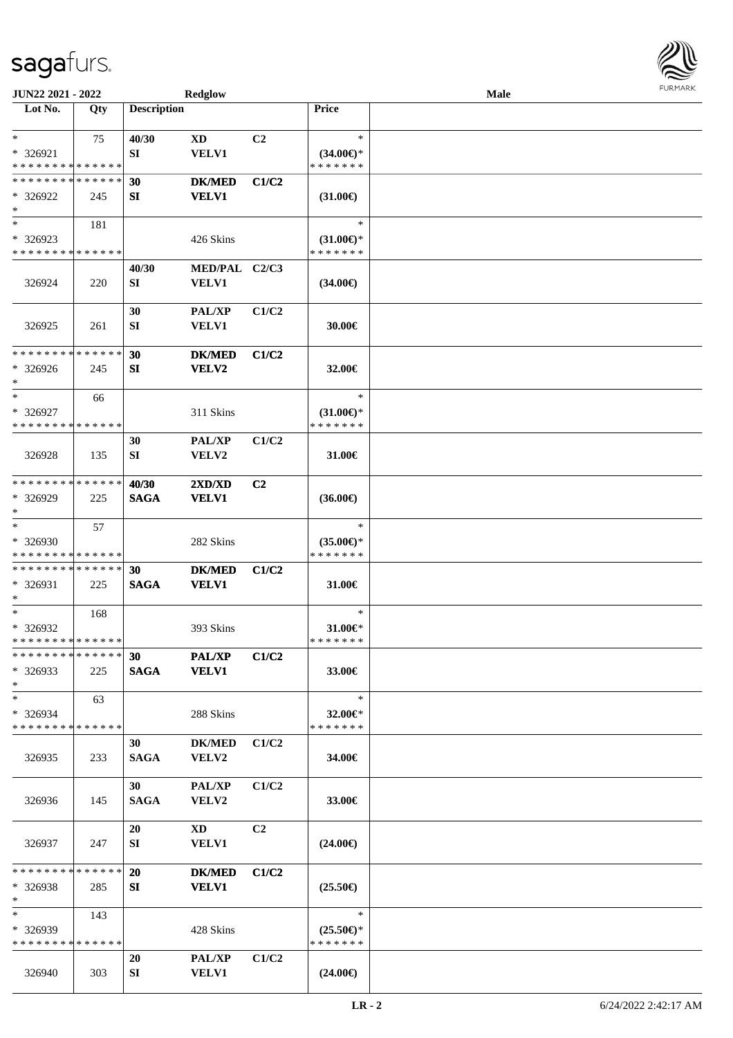| JUN22 2021 - 2022                                 |                    |                      | <b>Redglow</b>                |                |                                                | <b>Male</b> |  |
|---------------------------------------------------|--------------------|----------------------|-------------------------------|----------------|------------------------------------------------|-------------|--|
| Lot No.                                           | Qty                | <b>Description</b>   |                               |                | Price                                          |             |  |
| $*$<br>* 326921<br>* * * * * * * * * * * * * *    | 75                 | 40/30<br>SI          | XD<br>VELV1                   | C2             | $\ast$<br>$(34.00€)$ *<br>* * * * * * *        |             |  |
| * * * * * * * * * * * * * *<br>* 326922<br>$\ast$ | 245                | 30<br>SI             | <b>DK/MED</b><br><b>VELV1</b> | C1/C2          | $(31.00\epsilon)$                              |             |  |
| $*$<br>* 326923<br>* * * * * * * * * * * * * *    | 181                |                      | 426 Skins                     |                | $\ast$<br>$(31.00\epsilon)$ *<br>* * * * * * * |             |  |
| 326924                                            | 220                | 40/30<br>SI          | MED/PAL C2/C3<br><b>VELV1</b> |                | $(34.00\epsilon)$                              |             |  |
| 326925                                            | 261                | 30<br>SI             | PAL/XP<br><b>VELV1</b>        | C1/C2          | 30.00€                                         |             |  |
| ******** <mark>******</mark><br>$* 326926$<br>$*$ | 245                | 30<br>SI             | <b>DK/MED</b><br>VELV2        | C1/C2          | 32.00€                                         |             |  |
| $\ast$<br>* 326927<br>* * * * * * * * * * * * * * | 66                 |                      | 311 Skins                     |                | $\ast$<br>$(31.00\epsilon)$ *<br>* * * * * * * |             |  |
| 326928                                            | 135                | 30<br>SI             | PAL/XP<br>VELV2               | C1/C2          | 31.00€                                         |             |  |
| * * * * * * * * * * * * * *<br>* 326929<br>$*$    | 225                | 40/30<br><b>SAGA</b> | 2XD/XD<br><b>VELV1</b>        | C <sub>2</sub> | $(36.00\epsilon)$                              |             |  |
| $\ast$<br>* 326930<br>* * * * * * * * * * * * * * | 57                 |                      | 282 Skins                     |                | $\ast$<br>$(35.00\epsilon)$ *<br>* * * * * * * |             |  |
| * * * * * * * * * * * * * *<br>* 326931<br>$*$    | 225                | 30<br><b>SAGA</b>    | <b>DK/MED</b><br><b>VELV1</b> | C1/C2          | 31.00€                                         |             |  |
| $*$<br>* 326932<br>* * * * * * * * * * * * * *    | 168                |                      | 393 Skins                     |                | $\ast$<br>31.00€*<br>* * * * * * *             |             |  |
| * * * * * * * * * * * * * *<br>$*326933$<br>$*$   | 225                | 30<br><b>SAGA</b>    | <b>PAL/XP</b><br><b>VELV1</b> | C1/C2          | 33.00€                                         |             |  |
| $*$<br>* 326934<br>* * * * * * * * * * * * * *    | 63                 |                      | 288 Skins                     |                | $\ast$<br>32.00€*<br>* * * * * * *             |             |  |
| 326935                                            | 233                | 30<br><b>SAGA</b>    | <b>DK/MED</b><br><b>VELV2</b> | C1/C2          | 34.00€                                         |             |  |
| 326936                                            | 145                | 30<br><b>SAGA</b>    | PAL/XP<br><b>VELV2</b>        | C1/C2          | 33.00€                                         |             |  |
| 326937                                            | 247                | 20<br>SI             | XD<br><b>VELV1</b>            | C2             | $(24.00\epsilon)$                              |             |  |
| * * * * * * * *<br>* 326938<br>$*$                | * * * * * *<br>285 | 20<br>SI             | <b>DK/MED</b><br><b>VELV1</b> | C1/C2          | $(25.50\epsilon)$                              |             |  |
| $*$<br>$*326939$<br>* * * * * * * * * * * * * *   | 143                |                      | 428 Skins                     |                | $\ast$<br>$(25.50\epsilon)$ *<br>* * * * * * * |             |  |
| 326940                                            | 303                | <b>20</b><br>SI      | <b>PAL/XP</b><br><b>VELV1</b> | C1/C2          | $(24.00\epsilon)$                              |             |  |

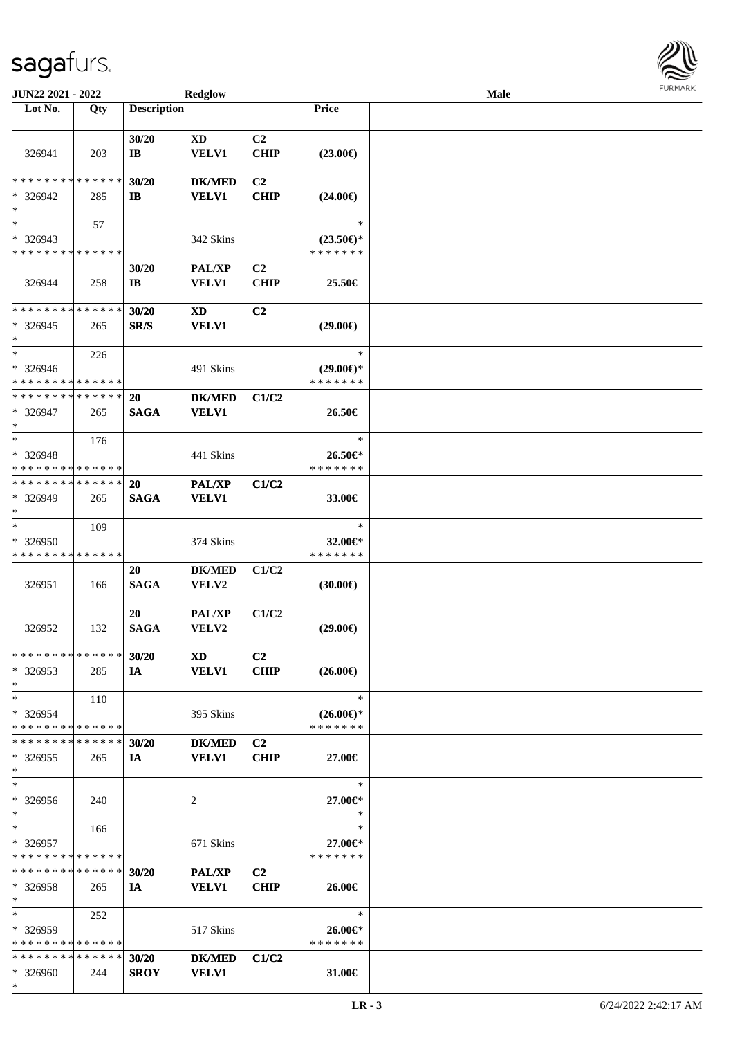\*

| JUN22 2021 - 2022                       |     |                    | <b>Redglow</b>            |                |                                      | <b>Male</b> |  |
|-----------------------------------------|-----|--------------------|---------------------------|----------------|--------------------------------------|-------------|--|
| Lot No.                                 | Qty | <b>Description</b> |                           |                | <b>Price</b>                         |             |  |
|                                         |     |                    |                           |                |                                      |             |  |
|                                         |     | 30/20              | XD                        | C <sub>2</sub> |                                      |             |  |
| 326941                                  | 203 | IB                 | VELV1                     | <b>CHIP</b>    | $(23.00\epsilon)$                    |             |  |
| * * * * * * * * * * * * * *             |     | 30/20              | <b>DK/MED</b>             | C <sub>2</sub> |                                      |             |  |
| * 326942                                | 285 | $\mathbf{I}$       | <b>VELV1</b>              | <b>CHIP</b>    | $(24.00\epsilon)$                    |             |  |
| $\ast$                                  |     |                    |                           |                |                                      |             |  |
| $*$                                     | 57  |                    |                           |                | $\ast$                               |             |  |
| * 326943                                |     |                    | 342 Skins                 |                | $(23.50\epsilon)$ *                  |             |  |
| * * * * * * * * * * * * * *             |     |                    |                           |                | * * * * * * *                        |             |  |
|                                         |     | 30/20              | PAL/XP                    | C <sub>2</sub> |                                      |             |  |
| 326944                                  | 258 | IB                 | <b>VELV1</b>              | <b>CHIP</b>    | 25.50€                               |             |  |
| * * * * * * * * * * * * * *             |     |                    |                           |                |                                      |             |  |
| $*326945$                               |     | 30/20<br>SR/S      | <b>XD</b><br><b>VELV1</b> | C <sub>2</sub> |                                      |             |  |
| $\ast$                                  | 265 |                    |                           |                | $(29.00\epsilon)$                    |             |  |
| $*$                                     | 226 |                    |                           |                | $\ast$                               |             |  |
| * 326946                                |     |                    | 491 Skins                 |                | $(29.00\epsilon)$ *                  |             |  |
| * * * * * * * * * * * * * *             |     |                    |                           |                | * * * * * * *                        |             |  |
| * * * * * * * * * * * * * *             |     | <b>20</b>          | <b>DK/MED</b>             | C1/C2          |                                      |             |  |
| $* 326947$                              | 265 | <b>SAGA</b>        | <b>VELV1</b>              |                | 26.50€                               |             |  |
| $*$                                     |     |                    |                           |                |                                      |             |  |
| $*$                                     | 176 |                    |                           |                | $\ast$                               |             |  |
| * 326948<br>* * * * * * * * * * * * * * |     |                    | 441 Skins                 |                | 26.50€*<br>* * * * * * *             |             |  |
| * * * * * * * * * * * * * *             |     | <b>20</b>          | <b>PAL/XP</b>             | C1/C2          |                                      |             |  |
| * 326949                                | 265 | <b>SAGA</b>        | <b>VELV1</b>              |                | 33.00€                               |             |  |
| $*$                                     |     |                    |                           |                |                                      |             |  |
| $\ast$                                  | 109 |                    |                           |                | $\ast$                               |             |  |
| * 326950                                |     |                    | 374 Skins                 |                | 32.00 $\in$ *                        |             |  |
| * * * * * * * * * * * * * *             |     |                    |                           |                | * * * * * * *                        |             |  |
|                                         |     | 20                 | <b>DK/MED</b>             | C1/C2          |                                      |             |  |
| 326951                                  | 166 | <b>SAGA</b>        | VELV2                     |                | (30.00)                              |             |  |
|                                         |     | 20                 | PAL/XP                    | C1/C2          |                                      |             |  |
| 326952                                  | 132 | <b>SAGA</b>        | VELV2                     |                | $(29.00\epsilon)$                    |             |  |
|                                         |     |                    |                           |                |                                      |             |  |
| * * * * * * * * * * * * * * *           |     | 30/20              | <b>XD</b>                 | C <sub>2</sub> |                                      |             |  |
| $*326953$                               | 285 | IA                 | <b>VELV1</b>              | <b>CHIP</b>    | $(26.00\epsilon)$                    |             |  |
| $*$                                     |     |                    |                           |                |                                      |             |  |
| $*$<br>* 326954                         | 110 |                    |                           |                | $\ast$                               |             |  |
| * * * * * * * * * * * * * *             |     |                    | 395 Skins                 |                | $(26.00\epsilon)$ *<br>* * * * * * * |             |  |
| * * * * * * * * * * * * * *             |     | 30/20              | <b>DK/MED</b>             | C <sub>2</sub> |                                      |             |  |
| $*326955$                               | 265 | IA                 | <b>VELV1</b>              | <b>CHIP</b>    | 27.00€                               |             |  |
| $*$                                     |     |                    |                           |                |                                      |             |  |
| $*$                                     |     |                    |                           |                | ∗                                    |             |  |
| * 326956                                | 240 |                    | 2                         |                | 27.00€*                              |             |  |
| $*$                                     |     |                    |                           |                | $\ast$                               |             |  |
| $*$ $-$                                 | 166 |                    |                           |                | $\ast$                               |             |  |
| * 326957<br>* * * * * * * * * * * * * * |     |                    | 671 Skins                 |                | 27.00€*<br>* * * * * * *             |             |  |
| * * * * * * * * * * * * * *             |     | 30/20              | PAL/XP                    | C <sub>2</sub> |                                      |             |  |
| * 326958                                | 265 | IA                 | <b>VELV1</b>              | <b>CHIP</b>    | 26.00€                               |             |  |
| $*$                                     |     |                    |                           |                |                                      |             |  |
| $*$                                     | 252 |                    |                           |                | $\ast$                               |             |  |
| $*326959$                               |     |                    | 517 Skins                 |                | 26.00€*                              |             |  |
| * * * * * * * * * * * * * *             |     |                    |                           |                | * * * * * * *                        |             |  |
| * * * * * * * * * * * * * *             |     | 30/20              | <b>DK/MED</b>             | C1/C2          |                                      |             |  |
| * 326960                                | 244 | <b>SROY</b>        | <b>VELV1</b>              |                | 31.00€                               |             |  |

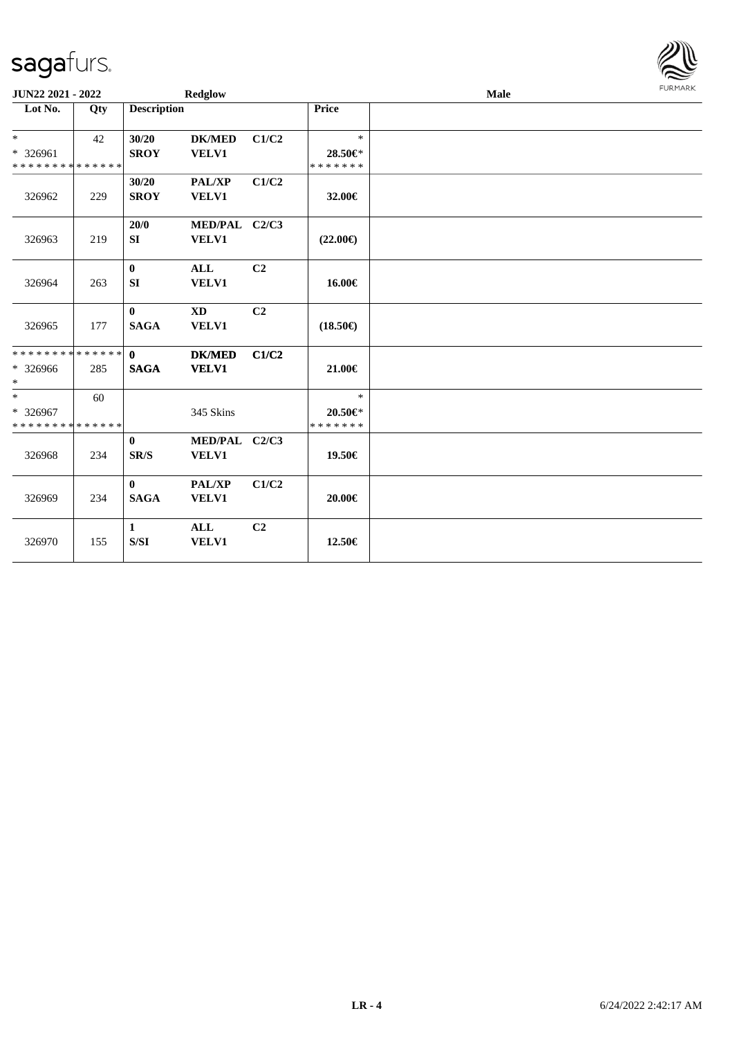| <b>JUN22 2021 - 2022</b>                            |     |                             | Redglow                       |                |                                    | <b>LOKINKY</b> |  |
|-----------------------------------------------------|-----|-----------------------------|-------------------------------|----------------|------------------------------------|----------------|--|
| Lot No.                                             | Qty | <b>Description</b>          |                               |                | Price                              |                |  |
| $*$<br>* 326961<br>* * * * * * * * * * * * * *      | 42  | 30/20<br><b>SROY</b>        | <b>DK/MED</b><br>VELV1        | C1/C2          | $\ast$<br>28.50€*<br>* * * * * * * |                |  |
| 326962                                              | 229 | 30/20<br><b>SROY</b>        | PAL/XP<br>VELV1               | C1/C2          | 32.00€                             |                |  |
| 326963                                              | 219 | 20/0<br>SI                  | MED/PAL C2/C3<br>VELV1        |                | $(22.00\epsilon)$                  |                |  |
| 326964                                              | 263 | $\bf{0}$<br>SI              | <b>ALL</b><br>VELV1           | C <sub>2</sub> | 16.00€                             |                |  |
| 326965                                              | 177 | $\bf{0}$<br><b>SAGA</b>     | <b>XD</b><br>VELV1            | C <sub>2</sub> | $(18.50\epsilon)$                  |                |  |
| * * * * * * * * * * * * * * *<br>* 326966<br>$\ast$ | 285 | $\mathbf{0}$<br><b>SAGA</b> | <b>DK/MED</b><br><b>VELV1</b> | C1/C2          | 21.00€                             |                |  |
| $\ast$<br>* 326967<br>* * * * * * * * * * * * * *   | 60  |                             | 345 Skins                     |                | $\ast$<br>20.50€*<br>* * * * * * * |                |  |
| 326968                                              | 234 | $\mathbf{0}$<br>SR/S        | MED/PAL C2/C3<br>VELV1        |                | 19.50€                             |                |  |
| 326969                                              | 234 | $\mathbf{0}$<br><b>SAGA</b> | <b>PAL/XP</b><br>VELV1        | C1/C2          | $20.00 \in$                        |                |  |
| 326970                                              | 155 | $\mathbf{1}$<br>S/SI        | <b>ALL</b><br><b>VELV1</b>    | C2             | 12.50€                             |                |  |

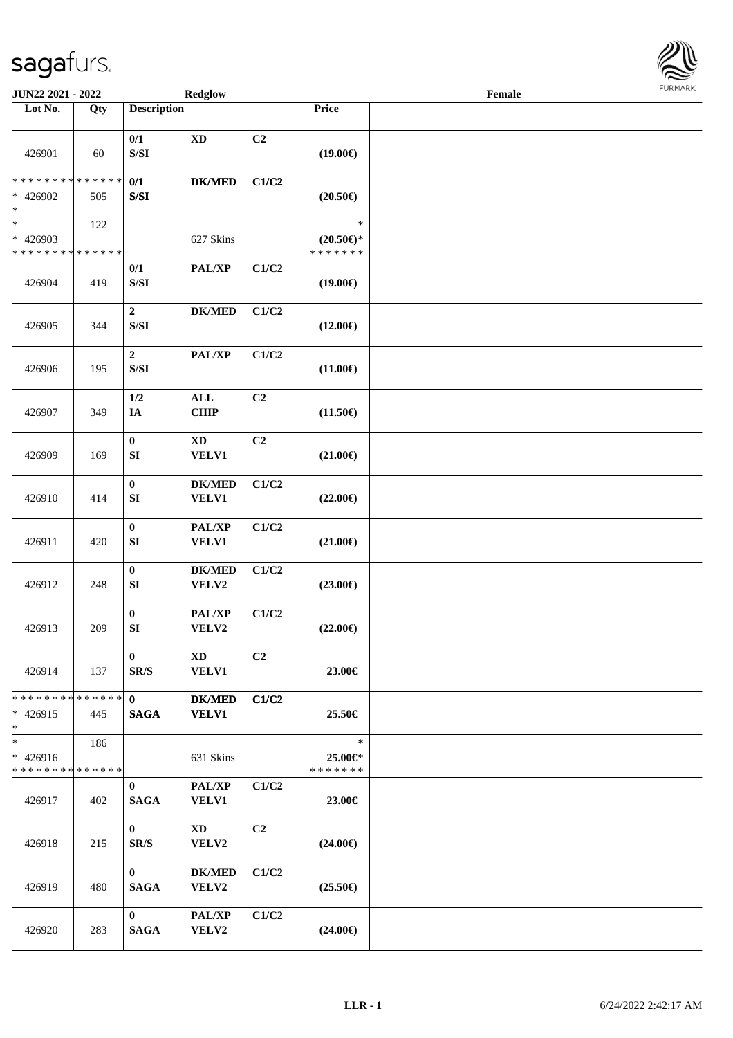

| <b>JUN22 2021 - 2022</b>                                     |     |                                                                                                            | <b>Redglow</b>                         |                |                                             | Female |  |
|--------------------------------------------------------------|-----|------------------------------------------------------------------------------------------------------------|----------------------------------------|----------------|---------------------------------------------|--------|--|
| Lot No.                                                      | Qty | <b>Description</b>                                                                                         |                                        |                | Price                                       |        |  |
| 426901                                                       | 60  | 0/1<br>$\ensuremath{\mathrm{S}}\xspace/\ensuremath{\mathrm{S}}\xspace\ensuremath{\mathrm{I}}$              | $\mathbf{X}\mathbf{D}$                 | C2             | $(19.00\epsilon)$                           |        |  |
| * * * * * * * * * * * * * *<br>* 426902<br>$\ast$            | 505 | 0/1<br>$\ensuremath{\mathrm{S}}\xspace/\ensuremath{\mathrm{S}}\xspace\ensuremath{\mathrm{I}}$              | <b>DK/MED</b>                          | C1/C2          | $(20.50\epsilon)$                           |        |  |
| $\overline{\ast}$<br>* 426903<br>* * * * * * * * * * * * * * | 122 |                                                                                                            | 627 Skins                              |                | $\ast$<br>$(20.50 \in )^*$<br>* * * * * * * |        |  |
| 426904                                                       | 419 | 0/1<br>$\ensuremath{\mathrm{S}}\xspace/\ensuremath{\mathrm{S}}\xspace\ensuremath{\mathrm{I}}$              | $\mathbf{PAL}/\mathbf{XP}$             | C1/C2          | $(19.00\epsilon)$                           |        |  |
| 426905                                                       | 344 | $\boldsymbol{2}$<br>$\ensuremath{\mathrm{S}}\xspace/\ensuremath{\mathrm{S}}\xspace\ensuremath{\mathrm{I}}$ | <b>DK/MED</b>                          | C1/C2          | $(12.00\epsilon)$                           |        |  |
| 426906                                                       | 195 | $\boldsymbol{2}$<br>$\ensuremath{\mathrm{S}}\xspace/\ensuremath{\mathrm{S}}\xspace\ensuremath{\mathrm{I}}$ | PAL/XP                                 | C1/C2          | $(11.00\epsilon)$                           |        |  |
| 426907                                                       | 349 | 1/2<br>IA                                                                                                  | $\mathbf{ALL}$<br>CHIP                 | C2             | $(11.50\epsilon)$                           |        |  |
| 426909                                                       | 169 | $\boldsymbol{0}$<br>SI                                                                                     | $\mathbf{X}\mathbf{D}$<br><b>VELV1</b> | C2             | $(21.00\epsilon)$                           |        |  |
| 426910                                                       | 414 | $\pmb{0}$<br>SI                                                                                            | <b>DK/MED</b><br><b>VELV1</b>          | C1/C2          | $(22.00\epsilon)$                           |        |  |
| 426911                                                       | 420 | $\pmb{0}$<br>${\bf S}{\bf I}$                                                                              | PAL/XP<br><b>VELV1</b>                 | C1/C2          | $(21.00\epsilon)$                           |        |  |
| 426912                                                       | 248 | $\bf{0}$<br>SI                                                                                             | <b>DK/MED</b><br>VELV2                 | C1/C2          | $(23.00\epsilon)$                           |        |  |
| 426913                                                       | 209 | $\boldsymbol{0}$<br>${\bf S}{\bf I}$                                                                       | PAL/XP<br>VELV2                        | C1/C2          | $(22.00\epsilon)$                           |        |  |
| 426914                                                       | 137 | $\bf{0}$<br>$\mathbf{SR}/\mathbf{S}$                                                                       | XD<br><b>VELV1</b>                     | C <sub>2</sub> | 23.00€                                      |        |  |
| * * * * * * * * * * * * * * *<br>$* 426915$<br>$*$           | 445 | $\mathbf{0}$<br><b>SAGA</b>                                                                                | $DK/MED$<br><b>VELV1</b>               | C1/C2          | 25.50€                                      |        |  |
| $*$<br>$* 426916$<br>* * * * * * * * * * * * * *             | 186 |                                                                                                            | 631 Skins                              |                | $\ast$<br>25.00€*<br>* * * * * * *          |        |  |
| 426917                                                       | 402 | $\bf{0}$<br><b>SAGA</b>                                                                                    | PAL/XP<br><b>VELV1</b>                 | C1/C2          | 23.00€                                      |        |  |
| 426918                                                       | 215 | $\mathbf{0}$<br>SR/S                                                                                       | $\mathbf{X}\mathbf{D}$<br>VELV2        | C <sub>2</sub> | $(24.00\epsilon)$                           |        |  |
| 426919                                                       | 480 | $\mathbf{0}$<br><b>SAGA</b>                                                                                | <b>DK/MED</b><br>VELV2                 | C1/C2          | $(25.50\epsilon)$                           |        |  |
| 426920                                                       | 283 | $\mathbf{0}$<br><b>SAGA</b>                                                                                | PAL/XP<br>VELV2                        | C1/C2          | $(24.00\epsilon)$                           |        |  |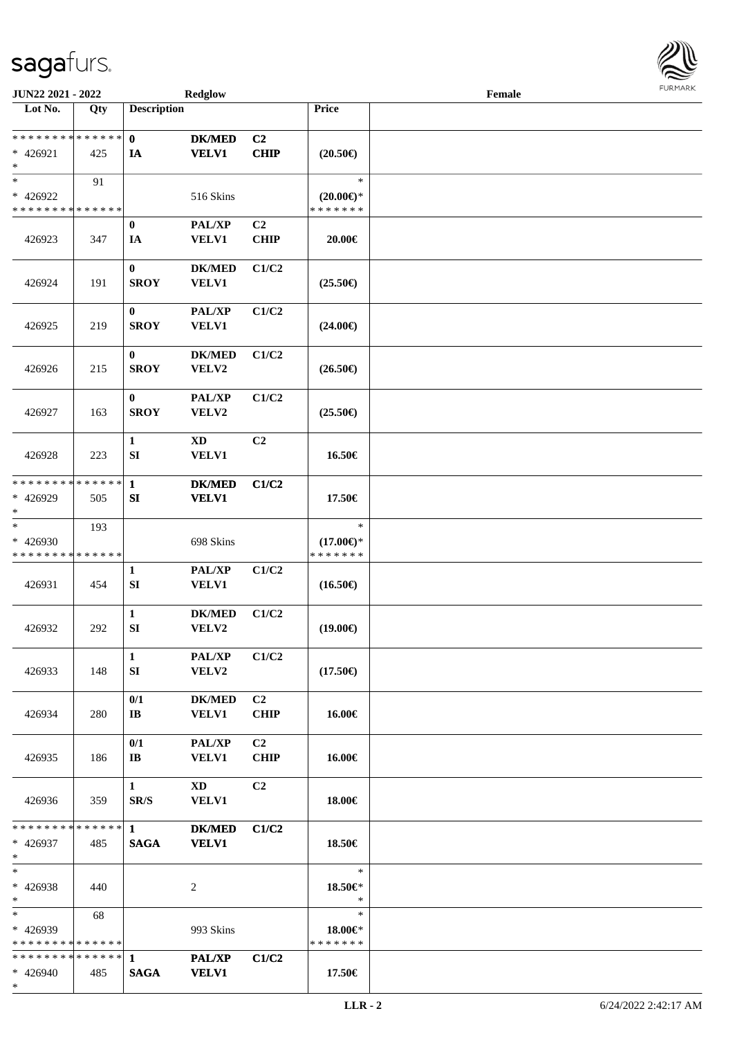

| JUN22 2021 - 2022                                   |     |                                       | <b>Redglow</b>                             |                               |                                                   | Female |  |
|-----------------------------------------------------|-----|---------------------------------------|--------------------------------------------|-------------------------------|---------------------------------------------------|--------|--|
| Lot No.                                             | Qty | <b>Description</b>                    |                                            |                               | Price                                             |        |  |
|                                                     |     |                                       |                                            |                               |                                                   |        |  |
| * * * * * * * * * * * * * *<br>$* 426921$<br>$\ast$ | 425 | $\mathbf{0}$<br>IA                    | <b>DK/MED</b><br><b>VELV1</b>              | C2<br><b>CHIP</b>             | $(20.50\epsilon)$                                 |        |  |
| $\ast$<br>* 426922<br>* * * * * * * * * * * * * *   | 91  |                                       | 516 Skins                                  |                               | $\ast$<br>$(20.00\varepsilon)$ *<br>* * * * * * * |        |  |
| 426923                                              | 347 | $\bf{0}$<br>IA                        | $\mathbf{PAL}/\mathbf{XP}$<br><b>VELV1</b> | C <sub>2</sub><br><b>CHIP</b> | 20.00€                                            |        |  |
| 426924                                              | 191 | $\bf{0}$<br><b>SROY</b>               | <b>DK/MED</b><br><b>VELV1</b>              | C1/C2                         | $(25.50\epsilon)$                                 |        |  |
| 426925                                              | 219 | $\bf{0}$<br><b>SROY</b>               | PAL/XP<br><b>VELV1</b>                     | C1/C2                         | $(24.00\epsilon)$                                 |        |  |
| 426926                                              | 215 | $\bf{0}$<br><b>SROY</b>               | <b>DK/MED</b><br>VELV2                     | C1/C2                         | $(26.50\epsilon)$                                 |        |  |
| 426927                                              | 163 | $\bf{0}$<br><b>SROY</b>               | PAL/XP<br>VELV2                            | C1/C2                         | $(25.50\epsilon)$                                 |        |  |
| 426928                                              | 223 | $\mathbf{1}$<br>SI                    | <b>XD</b><br><b>VELV1</b>                  | C2                            | 16.50€                                            |        |  |
| * * * * * * * * * * * * * *<br>* 426929<br>$\ast$   | 505 | $\mathbf{1}$<br>SI                    | <b>DK/MED</b><br><b>VELV1</b>              | C1/C2                         | 17.50€                                            |        |  |
| $\ast$<br>* 426930<br>* * * * * * * * * * * * * *   | 193 |                                       | 698 Skins                                  |                               | $\ast$<br>$(17.00\epsilon)$ *<br>* * * * * * *    |        |  |
| 426931                                              | 454 | $\mathbf{1}$<br>SI                    | $\mathbf{PAL}/\mathbf{XP}$<br><b>VELV1</b> | C1/C2                         | $(16.50\epsilon)$                                 |        |  |
| 426932                                              | 292 | $\mathbf{1}$<br>${\bf SI}$            | <b>DK/MED</b><br>VELV2                     | C1/C2                         | $(19.00\epsilon)$                                 |        |  |
| 426933                                              | 148 | $\mathbf{1}$<br>SI                    | $\mathbf{PAL}/\mathbf{XP}$<br><b>VELV2</b> | C1/C2                         | $(17.50\epsilon)$                                 |        |  |
| 426934                                              | 280 | 0/1<br>$\mathbf{I} \mathbf{B}$        | $DK/MED$<br><b>VELV1</b>                   | C <sub>2</sub><br><b>CHIP</b> | 16.00€                                            |        |  |
| 426935                                              | 186 | 0/1<br>$\mathbf{I} \mathbf{B}$        | <b>PAL/XP</b><br><b>VELV1</b>              | C <sub>2</sub><br><b>CHIP</b> | 16.00€                                            |        |  |
| 426936                                              | 359 | 1<br>SR/S                             | $\mathbf{X}\mathbf{D}$<br><b>VELV1</b>     | C <sub>2</sub>                | 18.00€                                            |        |  |
| * * * * * * * * * * * * * * *<br>$* 426937$<br>$*$  | 485 | $1 \quad \blacksquare$<br><b>SAGA</b> | <b>DK/MED</b><br><b>VELV1</b>              | C1/C2                         | 18.50€                                            |        |  |
| $\ast$<br>* 426938<br>$*$                           | 440 |                                       | 2                                          |                               | $\ast$<br>18.50€*<br>$\ast$                       |        |  |
| $*$<br>$* 426939$<br>* * * * * * * * * * * * * *    | 68  |                                       | 993 Skins                                  |                               | $\ast$<br>18.00€*<br>* * * * * * *                |        |  |
| * * * * * * * * * * * * * * *<br>$* 426940$<br>$*$  | 485 | 1<br><b>SAGA</b>                      | <b>PAL/XP</b><br><b>VELV1</b>              | C1/C2                         | 17.50€                                            |        |  |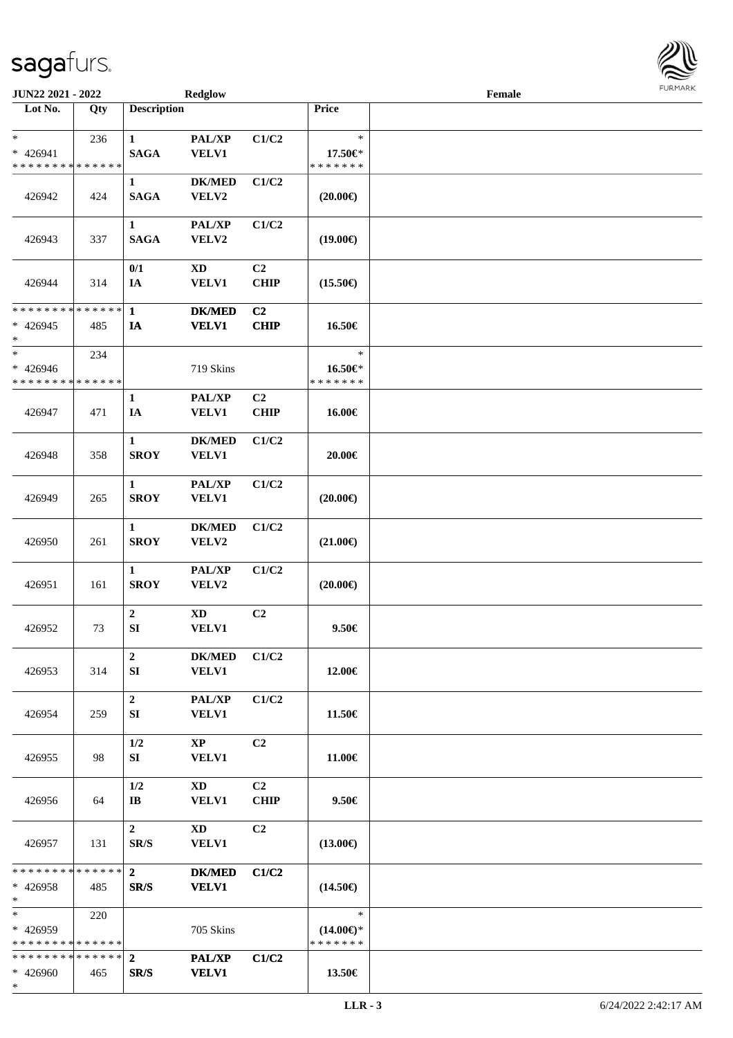| <b>JUN22 2021 - 2022</b>                                           |     |                             | Redglow                                |                               |                                                | Female |  |
|--------------------------------------------------------------------|-----|-----------------------------|----------------------------------------|-------------------------------|------------------------------------------------|--------|--|
| Lot No.                                                            | Qty | <b>Description</b>          |                                        |                               | Price                                          |        |  |
| $\ast$<br>* 426941<br>* * * * * * * * * * * * * *                  | 236 | $\mathbf{1}$<br><b>SAGA</b> | PAL/XP<br>VELV1                        | C1/C2                         | $\ast$<br>17.50€*<br>* * * * * * *             |        |  |
| 426942                                                             | 424 | $\mathbf{1}$<br><b>SAGA</b> | <b>DK/MED</b><br>VELV2                 | C1/C2                         | $(20.00\epsilon)$                              |        |  |
| 426943                                                             | 337 | $\mathbf{1}$<br><b>SAGA</b> | <b>PAL/XP</b><br>VELV2                 | C1/C2                         | $(19.00\epsilon)$                              |        |  |
| 426944                                                             | 314 | 0/1<br>IA                   | $\mathbf{X}\mathbf{D}$<br><b>VELV1</b> | C <sub>2</sub><br>CHIP        | $(15.50\epsilon)$                              |        |  |
| * * * * * * * * * * * * * *                                        |     | $\mathbf{1}$                | <b>DK/MED</b>                          | C2                            |                                                |        |  |
| $* 426945$<br>*                                                    | 485 | IA                          | <b>VELV1</b>                           | <b>CHIP</b>                   | 16.50€                                         |        |  |
| $\ast$<br>* 426946<br>* * * * * * * * * * * * * *                  | 234 |                             | 719 Skins                              |                               | $\ast$<br>16.50€*<br>* * * * * * *             |        |  |
| 426947                                                             | 471 | $\mathbf{1}$<br>IA          | PAL/XP<br><b>VELV1</b>                 | C <sub>2</sub><br>CHIP        | 16.00€                                         |        |  |
| 426948                                                             | 358 | $\mathbf{1}$<br><b>SROY</b> | <b>DK/MED</b><br><b>VELV1</b>          | C1/C2                         | 20.00€                                         |        |  |
| 426949                                                             | 265 | $\mathbf{1}$<br><b>SROY</b> | <b>PAL/XP</b><br><b>VELV1</b>          | C1/C2                         | $(20.00\epsilon)$                              |        |  |
| 426950                                                             | 261 | $\mathbf{1}$<br><b>SROY</b> | <b>DK/MED</b><br>VELV2                 | C1/C2                         | $(21.00\epsilon)$                              |        |  |
| 426951                                                             | 161 | $\mathbf{1}$<br><b>SROY</b> | PAL/XP<br>VELV2                        | C1/C2                         | $(20.00\epsilon)$                              |        |  |
| 426952                                                             | 73  | $\boldsymbol{2}$<br>SI      | $\mathbf{X}\mathbf{D}$<br>VELV1        | C <sub>2</sub>                | $9.50 \in$                                     |        |  |
| 426953                                                             | 314 | $\boldsymbol{2}$<br>SI      | <b>DK/MED</b><br><b>VELV1</b>          | C1/C2                         | 12.00€                                         |        |  |
| 426954                                                             | 259 | $\boldsymbol{2}$<br>SI      | <b>PAL/XP</b><br><b>VELV1</b>          | C1/C2                         | 11.50€                                         |        |  |
| 426955                                                             | 98  | 1/2<br>SI                   | $\bold{XP}$<br>VELV1                   | C <sub>2</sub>                | 11.00€                                         |        |  |
| 426956                                                             | 64  | $1/2$<br>$\bf{IB}$          | XD<br><b>VELV1</b>                     | C <sub>2</sub><br><b>CHIP</b> | 9.50€                                          |        |  |
| 426957                                                             | 131 | $2^{\circ}$<br>SR/S         | $\mathbf{X}\mathbf{D}$<br>VELV1        | C <sub>2</sub>                | $(13.00\epsilon)$                              |        |  |
| * * * * * * * * <mark>* * * * * * *</mark><br>$* 426958$<br>$*$    | 485 | $\mathbf{2}$<br>SR/S        | <b>DK/MED</b><br><b>VELV1</b>          | C1/C2                         | $(14.50\epsilon)$                              |        |  |
| $*$<br>* 426959<br>* * * * * * * * * * * * * *                     | 220 |                             | 705 Skins                              |                               | $\ast$<br>$(14.00\epsilon)$ *<br>* * * * * * * |        |  |
| * * * * * * * * <mark>* * * * * *</mark> *<br>$* 426960$<br>$\ast$ | 465 | $\overline{2}$<br>SR/S      | PAL/XP<br><b>VELV1</b>                 | C1/C2                         | 13.50€                                         |        |  |